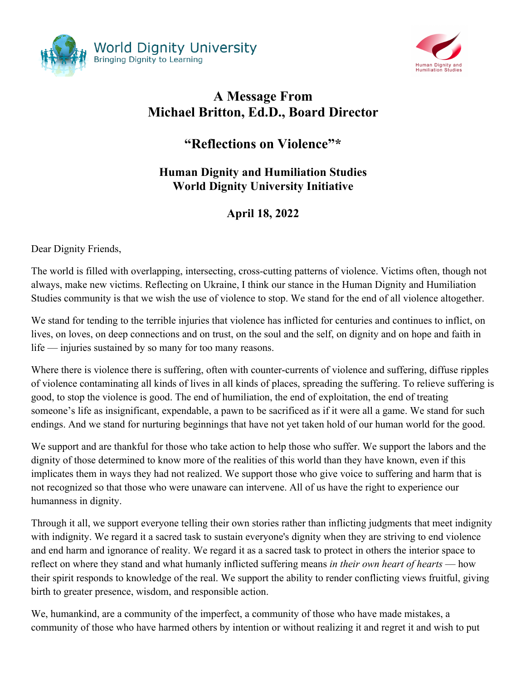



## **A Message From Michael Britton, Ed.D., Board Director**

## **"Reflections on Violence"\***

## **Human Dignity and Humiliation Studies World Dignity University Initiative**

## **April 18, 2022**

Dear Dignity Friends,

The world is filled with overlapping, intersecting, cross-cutting patterns of violence. Victims often, though not always, make new victims. Reflecting on Ukraine, I think our stance in the Human Dignity and Humiliation Studies community is that we wish the use of violence to stop. We stand for the end of all violence altogether.

We stand for tending to the terrible injuries that violence has inflicted for centuries and continues to inflict, on lives, on loves, on deep connections and on trust, on the soul and the self, on dignity and on hope and faith in life — injuries sustained by so many for too many reasons.

Where there is violence there is suffering, often with counter-currents of violence and suffering, diffuse ripples of violence contaminating all kinds of lives in all kinds of places, spreading the suffering. To relieve suffering is good, to stop the violence is good. The end of humiliation, the end of exploitation, the end of treating someone's life as insignificant, expendable, a pawn to be sacrificed as if it were all a game. We stand for such endings. And we stand for nurturing beginnings that have not yet taken hold of our human world for the good.

We support and are thankful for those who take action to help those who suffer. We support the labors and the dignity of those determined to know more of the realities of this world than they have known, even if this implicates them in ways they had not realized. We support those who give voice to suffering and harm that is not recognized so that those who were unaware can intervene. All of us have the right to experience our humanness in dignity.

Through it all, we support everyone telling their own stories rather than inflicting judgments that meet indignity with indignity. We regard it a sacred task to sustain everyone's dignity when they are striving to end violence and end harm and ignorance of reality. We regard it as a sacred task to protect in others the interior space to reflect on where they stand and what humanly inflicted suffering means *in their own heart of hearts* — how their spirit responds to knowledge of the real. We support the ability to render conflicting views fruitful, giving birth to greater presence, wisdom, and responsible action.

We, humankind, are a community of the imperfect, a community of those who have made mistakes, a community of those who have harmed others by intention or without realizing it and regret it and wish to put